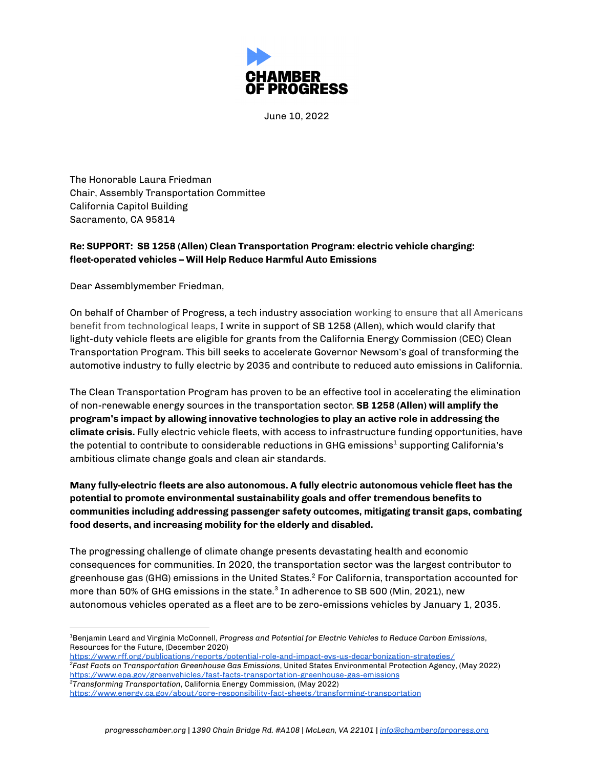

June 10, 2022

The Honorable Laura Friedman Chair, Assembly Transportation Committee California Capitol Building Sacramento, CA 95814

## **Re: SUPPORT: SB 1258 (Allen) Clean Transportation Program: electric vehicle charging: fleet-operated vehicles – Will Help Reduce Harmful Auto Emissions**

Dear Assemblymember Friedman,

On behalf of Chamber of Progress, a tech industry association working to ensure that all Americans benefit from technological leaps, I write in support of SB 1258 (Allen), which would clarify that light-duty vehicle fleets are eligible for grants from the California Energy Commission (CEC) Clean Transportation Program. This bill seeks to accelerate Governor Newsom's goal of transforming the automotive industry to fully electric by 2035 and contribute to reduced auto emissions in California.

The Clean Transportation Program has proven to be an effective tool in accelerating the elimination of non-renewable energy sources in the transportation sector. **SB 1258 (Allen) will amplify the program's impact by allowing innovative technologies to play an active role in addressing the climate crisis.** Fully electric vehicle fleets, with access to infrastructure funding opportunities, have the potential to contribute to considerable reductions in GHG emissions $^{\text{1}}$  supporting California's ambitious climate change goals and clean air standards.

**Many fully-electric fleets are also autonomous. A fully electric autonomous vehicle fleet has the potential to promote environmental sustainability goals and offer tremendous benefits to communities including addressing passenger safety outcomes, mitigating transit gaps, combating food deserts, and increasing mobility for the elderly and disabled.**

The progressing challenge of climate change presents devastating health and economic consequences for communities. In 2020, the transportation sector was the largest contributor to greenhouse gas (GHG) emissions in the United States. <sup>2</sup> For California, transportation accounted for more than 50% of GHG emissions in the state. $^3$  In adherence to SB 500 (Min, 2021), new autonomous vehicles operated as a fleet are to be zero-emissions vehicles by January 1, 2035.

- *<sup>3</sup>Transforming Transportation*, California Energy Commission, (May 2022) *<sup>2</sup>Fast Facts on Transportation Greenhouse Gas Emissions*, United States Environmental Protection Agency, (May 2022) <https://www.epa.gov/greenvehicles/fast-facts-transportation-greenhouse-gas-emissions> <https://www.rff.org/publications/reports/potential-role-and-impact-evs-us-decarbonization-strategies/>
- <https://www.energy.ca.gov/about/core-responsibility-fact-sheets/transforming-transportation>

<sup>1</sup>Benjamin Leard and Virginia McConnell, *Progress and Potential for Electric Vehicles to Reduce Carbon Emissions*, Resources for the Future, (December 2020)